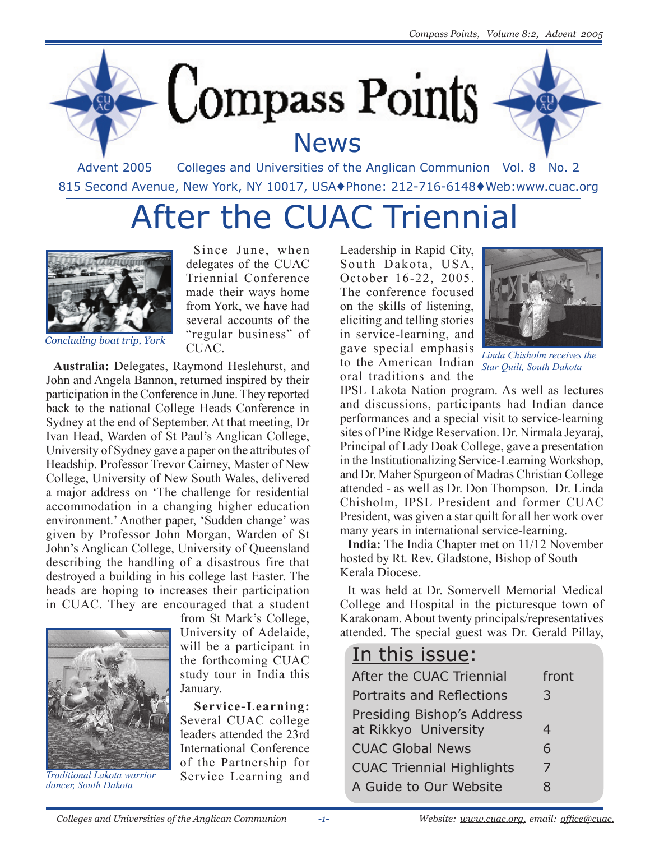



## **News**



Advent 2005 Colleges and Universities of the Anglican Communion Vol. 8 No. 2 815 Second Avenue, New York, NY 10017, USA♦Phone: 212-716-6148♦Web:www.cuac.org

## After the CUAC Triennial



*Concluding boat trip, York*

Since June, when delegates of the CUAC Triennial Conference made their ways home from York, we have had several accounts of the "regular business" of CU<sub>AC</sub>

**Australia:** Delegates, Raymond Heslehurst, and John and Angela Bannon, returned inspired by their participation in the Conference in June. They reported back to the national College Heads Conference in Sydney at the end of September. At that meeting, Dr Ivan Head, Warden of St Paul's Anglican College, University of Sydney gave a paper on the attributes of Headship. Professor Trevor Cairney, Master of New College, University of New South Wales, delivered a major address on 'The challenge for residential accommodation in a changing higher education environment.' Another paper, 'Sudden change' was given by Professor John Morgan, Warden of St John's Anglican College, University of Queensland describing the handling of a disastrous fire that destroyed a building in his college last Easter. The heads are hoping to increases their participation in CUAC. They are encouraged that a student



*Traditional Lakota warrior dancer, South Dakota*

from St Mark's College, University of Adelaide, will be a participant in the forthcoming CUAC study tour in India this January.

**Service-Learning:** Several CUAC college leaders attended the 23rd International Conference of the Partnership for Service Learning and

Leadership in Rapid City, South Dakota, USA, October 16-22, 2005. The conference focused on the skills of listening, eliciting and telling stories in service-learning, and gave special emphasis to the American Indian oral traditions and the



*Linda Chisholm receives the Star Quilt, South Dakota*

IPSL Lakota Nation program. As well as lectures and discussions, participants had Indian dance performances and a special visit to service-learning sites of Pine Ridge Reservation. Dr. Nirmala Jeyaraj, Principal of Lady Doak College, gave a presentation in the Institutionalizing Service-Learning Workshop, and Dr. Maher Spurgeon of Madras Christian College attended - as well as Dr. Don Thompson. Dr. Linda Chisholm, IPSL President and former CUAC President, was given a star quilt for all her work over many years in international service-learning.

**India:** The India Chapter met on 11/12 November hosted by Rt. Rev. Gladstone, Bishop of South Kerala Diocese.

It was held at Dr. Somervell Memorial Medical College and Hospital in the picturesque town of Karakonam. About twenty principals/representatives attended. The special guest was Dr. Gerald Pillay,

### In this issue:

| After the CUAC Triennial         | front |
|----------------------------------|-------|
| Portraits and Reflections        | 3     |
| Presiding Bishop's Address       |       |
| at Rikkyo University             | 4     |
| <b>CUAC Global News</b>          | 6     |
| <b>CUAC Triennial Highlights</b> | 7     |
| A Guide to Our Website           | 8     |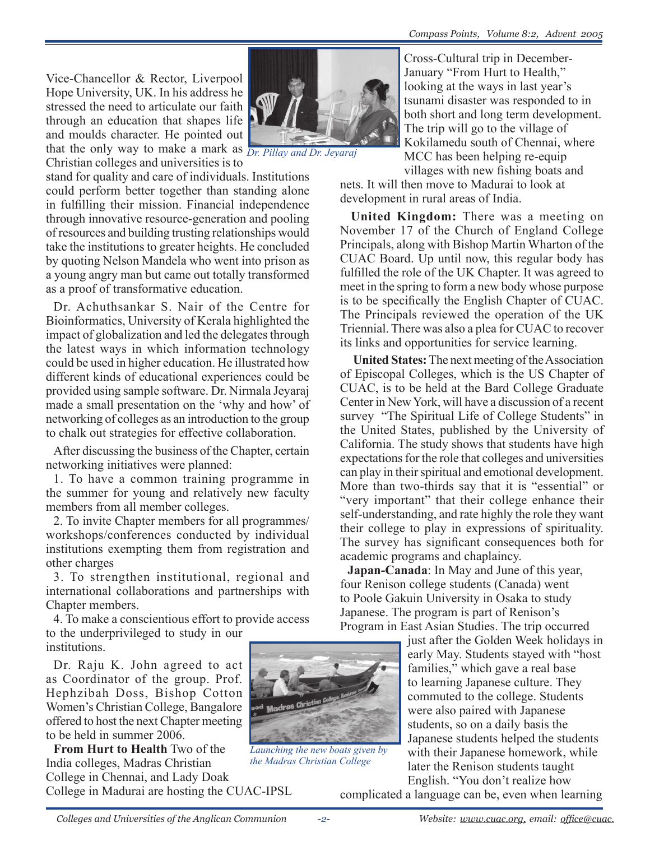Vice-Chancellor & Rector, Liverpool Hope University, UK. In his address he stressed the need to articulate our faith through an education that shapes life and moulds character. He pointed out that the only way to make a mark as *Dr. Pillay and Dr. Jeyaraj*Christian colleges and universities is to

stand for quality and care of individuals. Institutions could perform better together than standing alone in fulfilling their mission. Financial independence through innovative resource-generation and pooling of resources and building trusting relationships would take the institutions to greater heights. He concluded by quoting Nelson Mandela who went into prison as a young angry man but came out totally transformed as a proof of transformative education.

Dr. Achuthsankar S. Nair of the Centre for Bioinformatics, University of Kerala highlighted the impact of globalization and led the delegates through the latest ways in which information technology could be used in higher education. He illustrated how different kinds of educational experiences could be provided using sample software. Dr. Nirmala Jeyaraj made a small presentation on the 'why and how' of networking of colleges as an introduction to the group to chalk out strategies for effective collaboration.

After discussing the business of the Chapter, certain networking initiatives were planned:

1. To have a common training programme in the summer for young and relatively new faculty members from all member colleges.

2. To invite Chapter members for all programmes/ workshops/conferences conducted by individual institutions exempting them from registration and other charges

3. To strengthen institutional, regional and international collaborations and partnerships with Chapter members.

4. To make a conscientious effort to provide access to the underprivileged to study in our institutions.

Dr. Raju K. John agreed to act as Coordinator of the group. Prof. Hephzibah Doss, Bishop Cotton Women's Christian College, Bangalore offered to host the next Chapter meeting to be held in summer 2006.

**From Hurt to Health** Two of the India colleges, Madras Christian College in Chennai, and Lady Doak College in Madurai are hosting the CUAC-IPSL



*Launching the new boats given by the Madras Christian College*

Cross-Cultural trip in December-January "From Hurt to Health," looking at the ways in last year's tsunami disaster was responded to in both short and long term development. The trip will go to the village of Kokilamedu south of Chennai, where MCC has been helping re-equip villages with new fishing boats and

nets. It will then move to Madurai to look at development in rural areas of India.

**United Kingdom:** There was a meeting on November 17 of the Church of England College Principals, along with Bishop Martin Wharton of the CUAC Board. Up until now, this regular body has fulfilled the role of the UK Chapter. It was agreed to meet in the spring to form a new body whose purpose is to be specifically the English Chapter of CUAC. The Principals reviewed the operation of the UK Triennial. There was also a plea for CUAC to recover its links and opportunities for service learning.

**United States:** The next meeting of the Association of Episcopal Colleges, which is the US Chapter of CUAC, is to be held at the Bard College Graduate Center in New York, will have a discussion of a recent survey "The Spiritual Life of College Students" in the United States, published by the University of California. The study shows that students have high expectations for the role that colleges and universities can play in their spiritual and emotional development. More than two-thirds say that it is "essential" or "very important" that their college enhance their self-understanding, and rate highly the role they want their college to play in expressions of spirituality. The survey has significant consequences both for academic programs and chaplaincy.

**Japan-Canada**: In May and June of this year, four Renison college students (Canada) went to Poole Gakuin University in Osaka to study Japanese. The program is part of Renison's Program in East Asian Studies. The trip occurred

just after the Golden Week holidays in early May. Students stayed with "host families," which gave a real base to learning Japanese culture. They commuted to the college. Students were also paired with Japanese students, so on a daily basis the Japanese students helped the students with their Japanese homework, while later the Renison students taught English. "You don't realize how

complicated a language can be, even when learning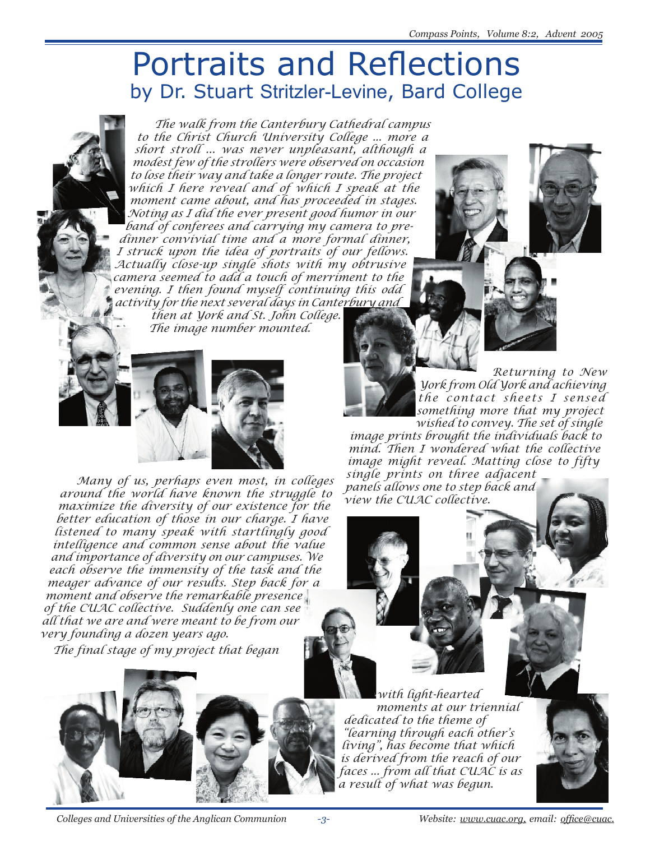## Portraits and Reflections by Dr. Stuart Stritzler-Levine, Bard College

*The walk from the Canterbury Cathedral campus to the Christ Church University College ... more a short stroll ... was never unpleasant, although a modest few of the strollers were observed on occasion to lose their way and take a longer route. The project which I here reveal and of which I speak at the moment came about, and has proceeded in stages. Noting as I did the ever present good humor in our band of conferees and carrying my camera to predinner convivial time and a more formal dinner, I struck upon the idea of portraits of our fellows. Actually close-up single shots with my obtrusive camera seemed to add a touch of merriment to the evening. I then found myself continuing this odd activity for the next several days in Canterbury and then at York and St. John College. The image number mounted.*



*Many of us, perhaps even most, in colleges around the world have known the struggle to maximize the diversity of our existence for the better education of those in our charge. I have listened to many speak with startlingly good intelligence and common sense about the value and importance of diversity on our campuses. We each observe the immensity of the task and the meager advance of our results. Step back for a moment and observe the remarkable presence of the CUAC collective. Suddenly one can see all that we are and were meant to be from our very founding a dozen years ago.* 

*The final stage of my project that began* 

*Returning to New York from Old York and achieving the contact sheets I sensed something more that my project* 

*wished to convey. The set of single image prints brought the individuals back to mind. Then I wondered what the collective image might reveal. Matting close to fifty single prints on three adjacent* 

*panels allows one to step back and view the CUAC collective.*

*with light-hearted moments at our triennial dedicated to the theme of "learning through each other's living", has become that which is derived from the reach of our faces ... from all that CUAC is as a result of what was begun.*



 *Colleges and Universities of the Anglican Communion Website: www.cuac.org, email: office@cuac.*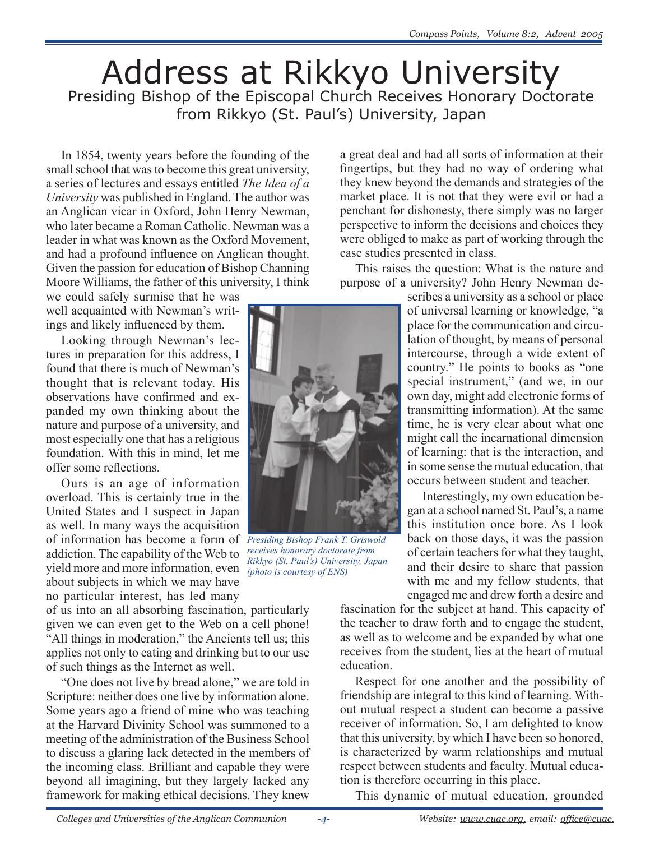## Address at Rikkyo University Presiding Bishop of the Episcopal Church Receives Honorary Doctorate from Rikkyo (St. Paul's) University, Japan

In 1854, twenty years before the founding of the small school that was to become this great university, a series of lectures and essays entitled *The Idea of a University* was published in England. The author was an Anglican vicar in Oxford, John Henry Newman, who later became a Roman Catholic. Newman was a leader in what was known as the Oxford Movement, and had a profound influence on Anglican thought. Given the passion for education of Bishop Channing Moore Williams, the father of this university, I think

we could safely surmise that he was well acquainted with Newman's writings and likely influenced by them.

Looking through Newman's lectures in preparation for this address, I found that there is much of Newman's thought that is relevant today. His observations have confirmed and expanded my own thinking about the nature and purpose of a university, and most especially one that has a religious foundation. With this in mind, let me offer some reflections.

Ours is an age of information overload. This is certainly true in the United States and I suspect in Japan as well. In many ways the acquisition of information has become a form of *Presiding Bishop Frank T. Griswold*  addiction. The capability of the Web to yield more and more information, even about subjects in which we may have no particular interest, has led many

of us into an all absorbing fascination, particularly given we can even get to the Web on a cell phone! "All things in moderation," the Ancients tell us; this applies not only to eating and drinking but to our use of such things as the Internet as well.

"One does not live by bread alone," we are told in Scripture: neither does one live by information alone. Some years ago a friend of mine who was teaching at the Harvard Divinity School was summoned to a meeting of the administration of the Business School to discuss a glaring lack detected in the members of the incoming class. Brilliant and capable they were beyond all imagining, but they largely lacked any framework for making ethical decisions. They knew a great deal and had all sorts of information at their fingertips, but they had no way of ordering what they knew beyond the demands and strategies of the market place. It is not that they were evil or had a penchant for dishonesty, there simply was no larger perspective to inform the decisions and choices they were obliged to make as part of working through the case studies presented in class.

This raises the question: What is the nature and purpose of a university? John Henry Newman de-

> scribes a university as a school or place of universal learning or knowledge, "a place for the communication and circulation of thought, by means of personal intercourse, through a wide extent of country." He points to books as "one special instrument," (and we, in our own day, might add electronic forms of transmitting information). At the same time, he is very clear about what one might call the incarnational dimension of learning: that is the interaction, and in some sense the mutual education, that occurs between student and teacher.

> Interestingly, my own education began at a school named St. Paul's, a name this institution once bore. As I look back on those days, it was the passion of certain teachers for what they taught, and their desire to share that passion with me and my fellow students, that engaged me and drew forth a desire and

fascination for the subject at hand. This capacity of the teacher to draw forth and to engage the student, as well as to welcome and be expanded by what one receives from the student, lies at the heart of mutual education.

Respect for one another and the possibility of friendship are integral to this kind of learning. Without mutual respect a student can become a passive receiver of information. So, I am delighted to know that this university, by which I have been so honored, is characterized by warm relationships and mutual respect between students and faculty. Mutual education is therefore occurring in this place.

This dynamic of mutual education, grounded



*receives honorary doctorate from Rikkyo (St. Paul's) University, Japan (photo is courtesy of ENS)*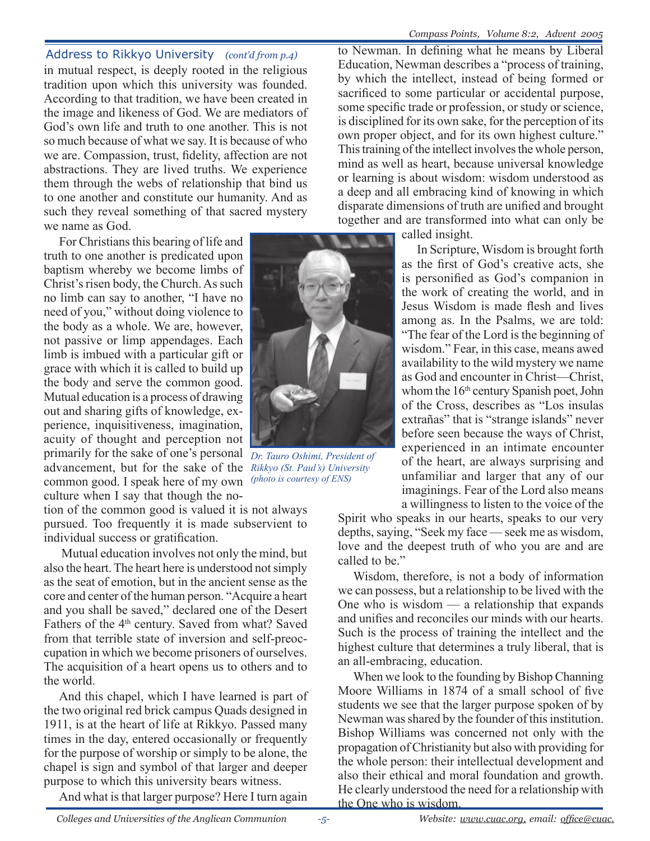in mutual respect, is deeply rooted in the religious tradition upon which this university was founded. According to that tradition, we have been created in the image and likeness of God. We are mediators of God's own life and truth to one another. This is not so much because of what we say. It is because of who we are. Compassion, trust, fidelity, affection are not abstractions. They are lived truths. We experience them through the webs of relationship that bind us to one another and constitute our humanity. And as such they reveal something of that sacred mystery we name as God.

For Christians this bearing of life and truth to one another is predicated upon baptism whereby we become limbs of Christ's risen body, the Church. As such no limb can say to another, "I have no need of you," without doing violence to the body as a whole. We are, however, not passive or limp appendages. Each limb is imbued with a particular gift or grace with which it is called to build up the body and serve the common good. Mutual education is a process of drawing out and sharing gifts of knowledge, experience, inquisitiveness, imagination, acuity of thought and perception not primarily for the sake of one's personal advancement, but for the sake of the *Rikkyo (St. Paul's) University* common good. I speak here of my own culture when I say that though the no-

tion of the common good is valued it is not always pursued. Too frequently it is made subservient to individual success or gratification.

 Mutual education involves not only the mind, but also the heart. The heart here is understood not simply as the seat of emotion, but in the ancient sense as the core and center of the human person. "Acquire a heart and you shall be saved," declared one of the Desert Fathers of the 4<sup>th</sup> century. Saved from what? Saved from that terrible state of inversion and self-preoccupation in which we become prisoners of ourselves. The acquisition of a heart opens us to others and to the world.

And this chapel, which I have learned is part of the two original red brick campus Quads designed in 1911, is at the heart of life at Rikkyo. Passed many times in the day, entered occasionally or frequently for the purpose of worship or simply to be alone, the chapel is sign and symbol of that larger and deeper purpose to which this university bears witness.

And what is that larger purpose? Here I turn again

Address to Rikkyo University *(cont'd from p.4)* to Newman. In defining what he means by Liberal Education, Newman describes a "process of training, by which the intellect, instead of being formed or sacrificed to some particular or accidental purpose, some specific trade or profession, or study or science, is disciplined for its own sake, for the perception of its own proper object, and for its own highest culture." This training of the intellect involves the whole person, mind as well as heart, because universal knowledge or learning is about wisdom: wisdom understood as a deep and all embracing kind of knowing in which disparate dimensions of truth are unified and brought together and are transformed into what can only be

called insight.

In Scripture, Wisdom is brought forth as the first of God's creative acts, she is personified as God's companion in the work of creating the world, and in Jesus Wisdom is made flesh and lives among as. In the Psalms, we are told: "The fear of the Lord is the beginning of wisdom." Fear, in this case, means awed availability to the wild mystery we name as God and encounter in Christ—Christ, whom the 16<sup>th</sup> century Spanish poet, John of the Cross, describes as "Los insulas extrañas" that is "strange islands" never before seen because the ways of Christ, experienced in an intimate encounter of the heart, are always surprising and unfamiliar and larger that any of our imaginings. Fear of the Lord also means a willingness to listen to the voice of the

Spirit who speaks in our hearts, speaks to our very depths, saying, "Seek my face — seek me as wisdom, love and the deepest truth of who you are and are called to be."

Wisdom, therefore, is not a body of information we can possess, but a relationship to be lived with the One who is wisdom — a relationship that expands and unifies and reconciles our minds with our hearts. Such is the process of training the intellect and the highest culture that determines a truly liberal, that is an all-embracing, education.

When we look to the founding by Bishop Channing Moore Williams in 1874 of a small school of five students we see that the larger purpose spoken of by Newman was shared by the founder of this institution. Bishop Williams was concerned not only with the propagation of Christianity but also with providing for the whole person: their intellectual development and also their ethical and moral foundation and growth. He clearly understood the need for a relationship with the One who is wisdom.





*Dr. Tauro Oshimi, President of* 

*(photo is courtesy of ENS)*

*-5-*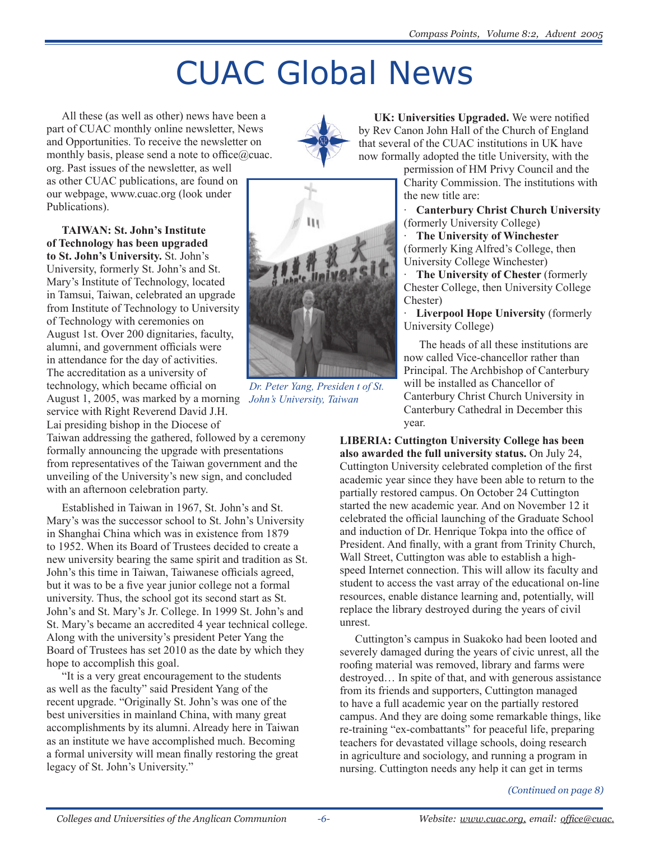# CUAC Global News

All these (as well as other) news have been a part of CUAC monthly online newsletter, News and Opportunities. To receive the newsletter on monthly basis, please send a note to office $@$ cuac. org. Past issues of the newsletter, as well as other CUAC publications, are found on

our webpage, www.cuac.org (look under Publications).

*John's University, Taiwan* August 1, 2005, was marked by a morning **TAIWAN: St. John's Institute of Technology has been upgraded to St. John's University.** St. John's University, formerly St. John's and St. Mary's Institute of Technology, located in Tamsui, Taiwan, celebrated an upgrade from Institute of Technology to University of Technology with ceremonies on August 1st. Over 200 dignitaries, faculty, alumni, and government officials were in attendance for the day of activities. The accreditation as a university of technology, which became official on service with Right Reverend David J.H.

Lai presiding bishop in the Diocese of Taiwan addressing the gathered, followed by a ceremony formally announcing the upgrade with presentations from representatives of the Taiwan government and the unveiling of the University's new sign, and concluded with an afternoon celebration party.

Established in Taiwan in 1967, St. John's and St. Mary's was the successor school to St. John's University in Shanghai China which was in existence from 1879 to 1952. When its Board of Trustees decided to create a new university bearing the same spirit and tradition as St. John's this time in Taiwan, Taiwanese officials agreed, but it was to be a five year junior college not a formal university. Thus, the school got its second start as St. John's and St. Mary's Jr. College. In 1999 St. John's and St. Mary's became an accredited 4 year technical college. Along with the university's president Peter Yang the Board of Trustees has set 2010 as the date by which they hope to accomplish this goal.

"It is a very great encouragement to the students as well as the faculty" said President Yang of the recent upgrade. "Originally St. John's was one of the best universities in mainland China, with many great accomplishments by its alumni. Already here in Taiwan as an institute we have accomplished much. Becoming a formal university will mean finally restoring the great legacy of St. John's University."



**UK: Universities Upgraded.** We were notified by Rev Canon John Hall of the Church of England that several of the CUAC institutions in UK have now formally adopted the title University, with the

permission of HM Privy Council and the Charity Commission. The institutions with the new title are:

· **Canterbury Christ Church University**  (formerly University College)

· **The University of Winchester**  (formerly King Alfred's College, then University College Winchester)

· **The University of Chester** (formerly Chester College, then University College Chester)

· **Liverpool Hope University** (formerly University College)

The heads of all these institutions are now called Vice-chancellor rather than Principal. The Archbishop of Canterbury will be installed as Chancellor of Canterbury Christ Church University in Canterbury Cathedral in December this year.

**LIBERIA: Cuttington University College has been also awarded the full university status.** On July 24, Cuttington University celebrated completion of the first academic year since they have been able to return to the partially restored campus. On October 24 Cuttington started the new academic year. And on November 12 it celebrated the official launching of the Graduate School and induction of Dr. Henrique Tokpa into the office of President. And finally, with a grant from Trinity Church, Wall Street, Cuttington was able to establish a highspeed Internet connection. This will allow its faculty and student to access the vast array of the educational on-line resources, enable distance learning and, potentially, will replace the library destroyed during the years of civil unrest.

Cuttington's campus in Suakoko had been looted and severely damaged during the years of civic unrest, all the roofing material was removed, library and farms were destroyed… In spite of that, and with generous assistance from its friends and supporters, Cuttington managed to have a full academic year on the partially restored campus. And they are doing some remarkable things, like re-training "ex-combattants" for peaceful life, preparing teachers for devastated village schools, doing research in agriculture and sociology, and running a program in nursing. Cuttington needs any help it can get in terms

#### *(Continued on page 8)*



*Dr. Peter Yang, Presiden t of St.*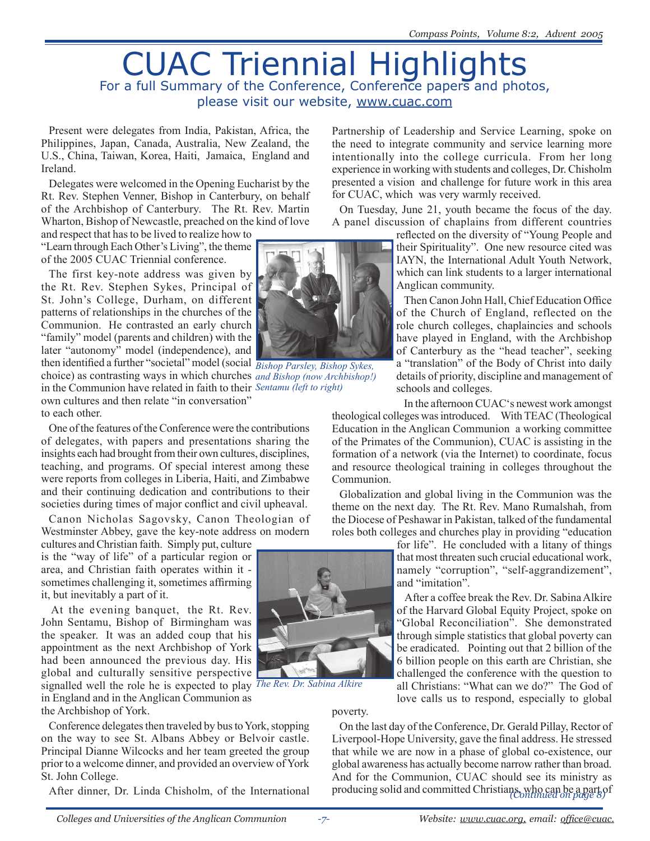## CUAC Triennial Highlights For a full Summary of the Conference, Conference papers and photos, please visit our website, www.cuac.com

Present were delegates from India, Pakistan, Africa, the Philippines, Japan, Canada, Australia, New Zealand, the U.S., China, Taiwan, Korea, Haiti, Jamaica, England and Ireland.

Delegates were welcomed in the Opening Eucharist by the Rt. Rev. Stephen Venner, Bishop in Canterbury, on behalf of the Archbishop of Canterbury. The Rt. Rev. Martin Wharton, Bishop of Newcastle, preached on the kind of love

and respect that has to be lived to realize how to "Learn through Each Other's Living", the theme of the 2005 CUAC Triennial conference.

The first key-note address was given by the Rt. Rev. Stephen Sykes, Principal of St. John's College, Durham, on different patterns of relationships in the churches of the Communion. He contrasted an early church "family" model (parents and children) with the later "autonomy" model (independence), and then identified a further "societal" model (social *Bishop Parsley, Bishop Sykes,*  choice) as contrasting ways in which churches *and Bishop (now Archbishop!)*  in the Communion have related in faith to their *Sentamu (left to right)* own cultures and then relate "in conversation" to each other.

One of the features of the Conference were the contributions of delegates, with papers and presentations sharing the insights each had brought from their own cultures, disciplines, teaching, and programs. Of special interest among these were reports from colleges in Liberia, Haiti, and Zimbabwe and their continuing dedication and contributions to their societies during times of major conflict and civil upheaval.

Canon Nicholas Sagovsky, Canon Theologian of Westminster Abbey, gave the key-note address on modern

cultures and Christian faith. Simply put, culture is the "way of life" of a particular region or area, and Christian faith operates within it sometimes challenging it, sometimes affirming it, but inevitably a part of it.

 At the evening banquet, the Rt. Rev. John Sentamu, Bishop of Birmingham was the speaker. It was an added coup that his appointment as the next Archbishop of York had been announced the previous day. His global and culturally sensitive perspective signalled well the role he is expected to play *The Rev. Dr. Sabina Alkire* in England and in the Anglican Communion as the Archbishop of York.

Conference delegates then traveled by bus to York, stopping on the way to see St. Albans Abbey or Belvoir castle. Principal Dianne Wilcocks and her team greeted the group prior to a welcome dinner, and provided an overview of York St. John College.

After dinner, Dr. Linda Chisholm, of the International



Partnership of Leadership and Service Learning, spoke on the need to integrate community and service learning more intentionally into the college curricula. From her long experience in working with students and colleges, Dr. Chisholm presented a vision and challenge for future work in this area for CUAC, which was very warmly received.

On Tuesday, June 21, youth became the focus of the day. A panel discussion of chaplains from different countries

reflected on the diversity of "Young People and their Spirituality". One new resource cited was IAYN, the International Adult Youth Network, which can link students to a larger international Anglican community.

Then Canon John Hall, Chief Education Office of the Church of England, reflected on the role church colleges, chaplaincies and schools have played in England, with the Archbishop of Canterbury as the "head teacher", seeking a "translation" of the Body of Christ into daily details of priority, discipline and management of schools and colleges.

In the afternoon CUAC's newest work amongst

theological colleges was introduced. With TEAC (Theological Education in the Anglican Communion a working committee of the Primates of the Communion), CUAC is assisting in the formation of a network (via the Internet) to coordinate, focus and resource theological training in colleges throughout the Communion.

Globalization and global living in the Communion was the theme on the next day. The Rt. Rev. Mano Rumalshah, from the Diocese of Peshawar in Pakistan, talked of the fundamental roles both colleges and churches play in providing "education

for life". He concluded with a litany of things that most threaten such crucial educational work, namely "corruption", "self-aggrandizement", and "imitation".

After a coffee break the Rev. Dr. Sabina Alkire of the Harvard Global Equity Project, spoke on "Global Reconciliation". She demonstrated through simple statistics that global poverty can be eradicated. Pointing out that 2 billion of the 6 billion people on this earth are Christian, she challenged the conference with the question to all Christians: "What can we do?" The God of love calls us to respond, especially to global

poverty.

On the last day of the Conference, Dr. Gerald Pillay, Rector of Liverpool-Hope University, gave the final address. He stressed that while we are now in a phase of global co-existence, our global awareness has actually become narrow rather than broad. And for the Communion, CUAC should see its ministry as producing solid and committed Christians, who can be a part of *(Continued on page 8)*